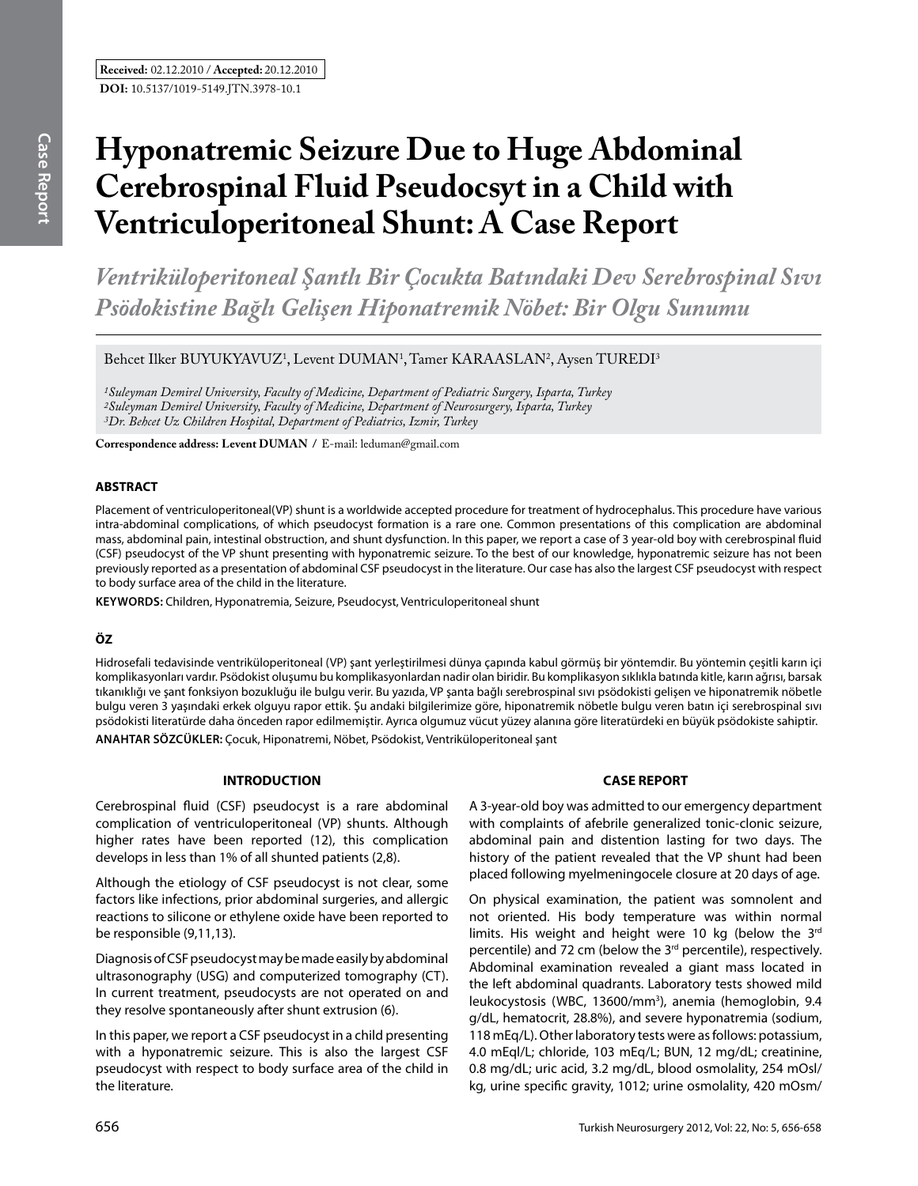# **Hyponatremic Seizure Due to Huge Abdominal Cerebrospinal Fluid Pseudocsyt in a Child with Ventriculoperitoneal Shunt: A Case Report**

*Ventriküloperitoneal Şantlı Bir Çocukta Batındaki Dev Serebrospinal Sıvı Psödokistine Bağlı Gelişen Hiponatremik Nöbet: Bir Olgu Sunumu* 

Behcet Ilker BUYUKYAVUZ<sup>1</sup>, Levent DUMAN<sup>1</sup>, Tamer KARAASLAN<sup>2</sup>, Aysen TUREDI<sup>3</sup>

*1Suleyman Demirel University, Faculty of Medicine, Department of Pediatric Surgery, Isparta, Turkey 2Suleyman Demirel University, Faculty of Medicine, Department of Neurosurgery, Isparta, Turkey 3Dr. Behcet Uz Children Hospital, Department of Pediatrics, Izmir, Turkey*

**Correspondence address: Levent Duman /** E-mail: leduman@gmail.com

## **ABSTRACT**

Placement of ventriculoperitoneal(VP) shunt is a worldwide accepted procedure for treatment of hydrocephalus. This procedure have various intra-abdominal complications, of which pseudocyst formation is a rare one. Common presentations of this complication are abdominal mass, abdominal pain, intestinal obstruction, and shunt dysfunction. In this paper, we report a case of 3 year-old boy with cerebrospinal fluid (CSF) pseudocyst of the VP shunt presenting with hyponatremic seizure. To the best of our knowledge, hyponatremic seizure has not been previously reported as a presentation of abdominal CSF pseudocyst in the literature. Our case has also the largest CSF pseudocyst with respect to body surface area of the child in the literature.

**Keywords:** Children, Hyponatremia, Seizure, Pseudocyst, Ventriculoperitoneal shunt

# **ÖZ**

Hidrosefali tedavisinde ventriküloperitoneal (VP) şant yerleştirilmesi dünya çapında kabul görmüş bir yöntemdir. Bu yöntemin çeşitli karın içi komplikasyonları vardır. Psödokist oluşumu bu komplikasyonlardan nadir olan biridir. Bu komplikasyon sıklıkla batında kitle, karın ağrısı, barsak tıkanıklığı ve şant fonksiyon bozukluğu ile bulgu verir. Bu yazıda, VP şanta bağlı serebrospinal sıvı psödokisti gelişen ve hiponatremik nöbetle bulgu veren 3 yaşındaki erkek olguyu rapor ettik. Şu andaki bilgilerimize göre, hiponatremik nöbetle bulgu veren batın içi serebrospinal sıvı psödokisti literatürde daha önceden rapor edilmemiştir. Ayrıca olgumuz vücut yüzey alanına göre literatürdeki en büyük psödokiste sahiptir. **ANAHTAR SÖZCÜKLER:** Çocuk, Hiponatremi, Nöbet, Psödokist, Ventriküloperitoneal şant

## **INTRODUCTION**

Cerebrospinal fluid (CSF) pseudocyst is a rare abdominal complication of ventriculoperitoneal (VP) shunts. Although higher rates have been reported (12), this complication develops in less than 1% of all shunted patients (2,8).

Although the etiology of CSF pseudocyst is not clear, some factors like infections, prior abdominal surgeries, and allergic reactions to silicone or ethylene oxide have been reported to be responsible (9,11,13).

Diagnosis of CSF pseudocyst may be made easily by abdominal ultrasonography (USG) and computerized tomography (CT). In current treatment, pseudocysts are not operated on and they resolve spontaneously after shunt extrusion (6).

In this paper, we report a CSF pseudocyst in a child presenting with a hyponatremic seizure. This is also the largest CSF pseudocyst with respect to body surface area of the child in the literature.

# **CASE REPORT**

A 3-year-old boy was admitted to our emergency department with complaints of afebrile generalized tonic-clonic seizure, abdominal pain and distention lasting for two days. The history of the patient revealed that the VP shunt had been placed following myelmeningocele closure at 20 days of age.

On physical examination, the patient was somnolent and not oriented. His body temperature was within normal limits. His weight and height were 10 kg (below the 3rd percentile) and 72 cm (below the 3<sup>rd</sup> percentile), respectively. Abdominal examination revealed a giant mass located in the left abdominal quadrants. Laboratory tests showed mild leukocystosis (WBC, 13600/mm<sup>3</sup>), anemia (hemoglobin, 9.4 g/dL, hematocrit, 28.8%), and severe hyponatremia (sodium, 118 mEq/L). Other laboratory tests were as follows: potassium, 4.0 mEql/L; chloride, 103 mEq/L; BUN, 12 mg/dL; creatinine, 0.8 mg/dL; uric acid, 3.2 mg/dL, blood osmolality, 254 mOsl/ kg, urine specific gravity, 1012; urine osmolality, 420 mOsm/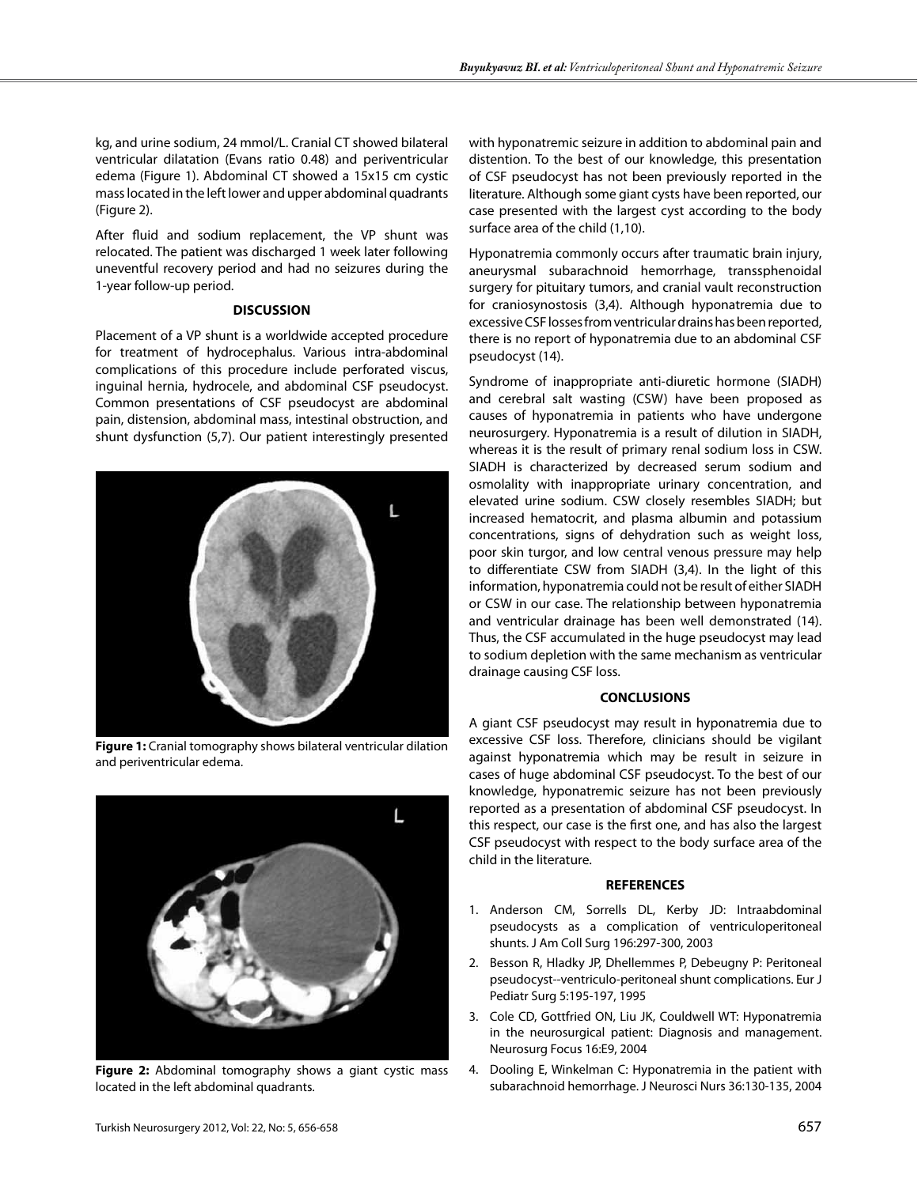kg, and urine sodium, 24 mmol/L. Cranial CT showed bilateral ventricular dilatation (Evans ratio 0.48) and periventricular edema (Figure 1). Abdominal CT showed a 15x15 cm cystic mass located in the left lower and upper abdominal quadrants (Figure 2).

After fluid and sodium replacement, the VP shunt was relocated. The patient was discharged 1 week later following uneventful recovery period and had no seizures during the 1-year follow-up period.

#### **DISCUSSION**

Placement of a VP shunt is a worldwide accepted procedure for treatment of hydrocephalus. Various intra-abdominal complications of this procedure include perforated viscus, inguinal hernia, hydrocele, and abdominal CSF pseudocyst. Common presentations of CSF pseudocyst are abdominal pain, distension, abdominal mass, intestinal obstruction, and shunt dysfunction (5,7). Our patient interestingly presented



**Figure 1:** Cranial tomography shows bilateral ventricular dilation and periventricular edema.



**Figure 2:** Abdominal tomography shows a giant cystic mass located in the left abdominal quadrants.

with hyponatremic seizure in addition to abdominal pain and distention. To the best of our knowledge, this presentation of CSF pseudocyst has not been previously reported in the literature. Although some giant cysts have been reported, our case presented with the largest cyst according to the body surface area of the child (1,10).

Hyponatremia commonly occurs after traumatic brain injury, aneurysmal subarachnoid hemorrhage, transsphenoidal surgery for pituitary tumors, and cranial vault reconstruction for craniosynostosis (3,4). Although hyponatremia due to excessive CSF losses from ventricular drains has been reported, there is no report of hyponatremia due to an abdominal CSF pseudocyst (14).

Syndrome of inappropriate anti-diuretic hormone (SIADH) and cerebral salt wasting (CSW) have been proposed as causes of hyponatremia in patients who have undergone neurosurgery. Hyponatremia is a result of dilution in SIADH, whereas it is the result of primary renal sodium loss in CSW. SIADH is characterized by decreased serum sodium and osmolality with inappropriate urinary concentration, and elevated urine sodium. CSW closely resembles SIADH; but increased hematocrit, and plasma albumin and potassium concentrations, signs of dehydration such as weight loss, poor skin turgor, and low central venous pressure may help to differentiate CSW from SIADH (3,4). In the light of this information, hyponatremia could not be result of either SIADH or CSW in our case. The relationship between hyponatremia and ventricular drainage has been well demonstrated (14). Thus, the CSF accumulated in the huge pseudocyst may lead to sodium depletion with the same mechanism as ventricular drainage causing CSF loss.

## **CONCLUSIONS**

A giant CSF pseudocyst may result in hyponatremia due to excessive CSF loss. Therefore, clinicians should be vigilant against hyponatremia which may be result in seizure in cases of huge abdominal CSF pseudocyst. To the best of our knowledge, hyponatremic seizure has not been previously reported as a presentation of abdominal CSF pseudocyst. In this respect, our case is the first one, and has also the largest CSF pseudocyst with respect to the body surface area of the child in the literature.

#### **REFERENCES**

- 1. Anderson CM, Sorrells DL, Kerby JD: Intraabdominal pseudocysts as a complication of ventriculoperitoneal shunts. J Am Coll Surg 196:297-300, 2003
- 2. Besson R, Hladky JP, Dhellemmes P, Debeugny P: Peritoneal pseudocyst--ventriculo-peritoneal shunt complications. Eur J Pediatr Surg 5:195-197, 1995
- 3. Cole CD, Gottfried ON, Liu JK, Couldwell WT: Hyponatremia in the neurosurgical patient: Diagnosis and management. Neurosurg Focus 16:E9, 2004
- 4. Dooling E, Winkelman C: Hyponatremia in the patient with subarachnoid hemorrhage. J Neurosci Nurs 36:130-135, 2004